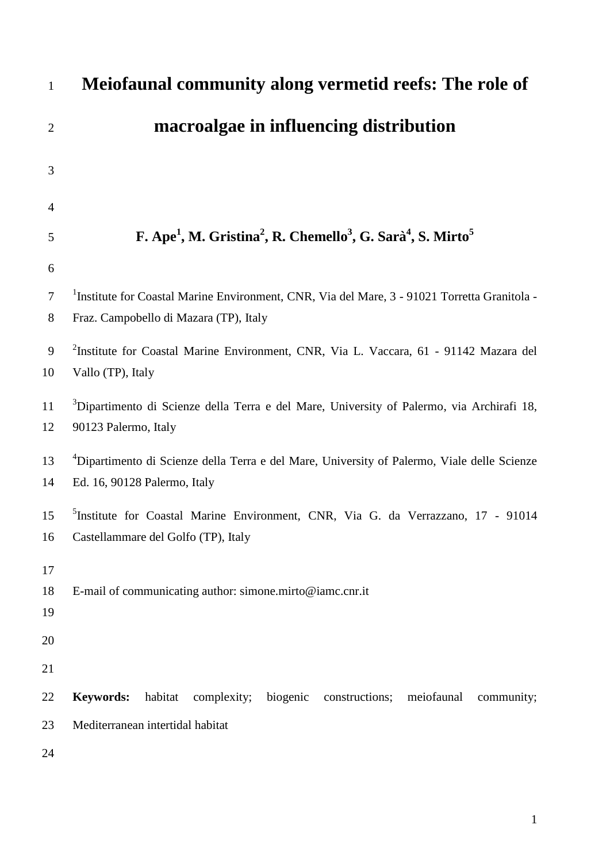| $\mathbf{1}$         | Meiofaunal community along vermetid reefs: The role of                                                                                             |
|----------------------|----------------------------------------------------------------------------------------------------------------------------------------------------|
| $\overline{2}$       | macroalgae in influencing distribution                                                                                                             |
| 3                    |                                                                                                                                                    |
| 4                    |                                                                                                                                                    |
| 5                    | F. Ape <sup>1</sup> , M. Gristina <sup>2</sup> , R. Chemello <sup>3</sup> , G. Sarà <sup>4</sup> , S. Mirto <sup>5</sup>                           |
| 6                    |                                                                                                                                                    |
| 7<br>8               | <sup>1</sup> Institute for Coastal Marine Environment, CNR, Via del Mare, 3 - 91021 Torretta Granitola -<br>Fraz. Campobello di Mazara (TP), Italy |
| 9<br>10              | <sup>2</sup> Institute for Coastal Marine Environment, CNR, Via L. Vaccara, 61 - 91142 Mazara del<br>Vallo (TP), Italy                             |
| 11<br>12             | <sup>3</sup> Dipartimento di Scienze della Terra e del Mare, University of Palermo, via Archirafi 18,<br>90123 Palermo, Italy                      |
| 13<br>14             | <sup>4</sup> Dipartimento di Scienze della Terra e del Mare, University of Palermo, Viale delle Scienze<br>Ed. 16, 90128 Palermo, Italy            |
| 15<br>16             | <sup>5</sup> Institute for Coastal Marine Environment, CNR, Via G. da Verrazzano, 17 - 91014<br>Castellammare del Golfo (TP), Italy                |
| 17<br>18<br>19<br>20 | E-mail of communicating author: simone.mirto@iamc.cnr.it                                                                                           |
| 21                   |                                                                                                                                                    |
| 22                   | <b>Keywords:</b><br>habitat<br>complexity;<br>biogenic<br>meiofaunal<br>constructions;<br>community;                                               |
| 23                   | Mediterranean intertidal habitat                                                                                                                   |
| 24                   |                                                                                                                                                    |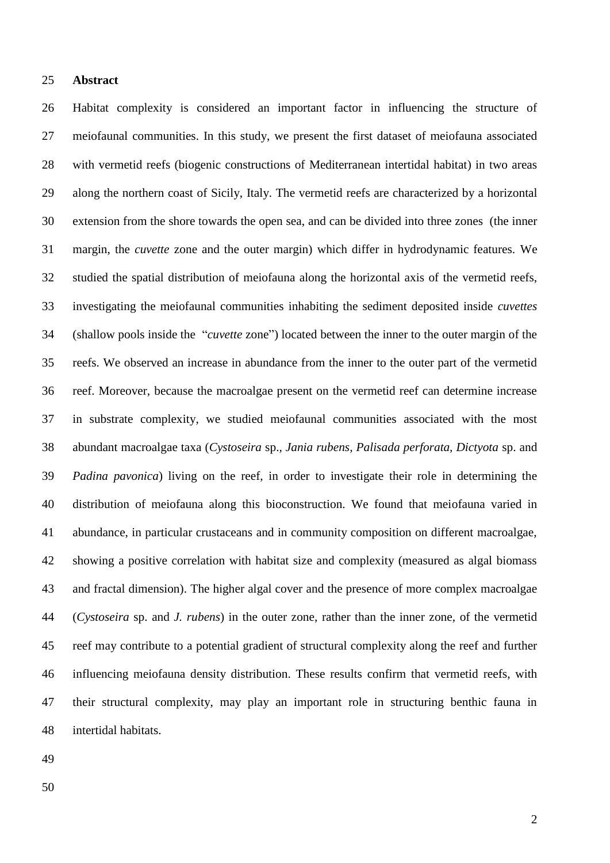## **Abstract**

 Habitat complexity is considered an important factor in influencing the structure of meiofaunal communities. In this study, we present the first dataset of meiofauna associated with vermetid reefs (biogenic constructions of Mediterranean intertidal habitat) in two areas along the northern coast of Sicily, Italy. The vermetid reefs are characterized by a horizontal extension from the shore towards the open sea, and can be divided into three zones (the inner margin, the *cuvette* zone and the outer margin) which differ in hydrodynamic features. We studied the spatial distribution of meiofauna along the horizontal axis of the vermetid reefs, investigating the meiofaunal communities inhabiting the sediment deposited inside *cuvettes* (shallow pools inside the "*cuvette* zone") located between the inner to the outer margin of the reefs. We observed an increase in abundance from the inner to the outer part of the vermetid reef. Moreover, because the macroalgae present on the vermetid reef can determine increase in substrate complexity, we studied meiofaunal communities associated with the most abundant macroalgae taxa (*Cystoseira* sp.*, Jania rubens, Palisada perforata, Dictyota* sp. and *Padina pavonica*) living on the reef, in order to investigate their role in determining the distribution of meiofauna along this bioconstruction. We found that meiofauna varied in abundance, in particular crustaceans and in community composition on different macroalgae, showing a positive correlation with habitat size and complexity (measured as algal biomass and fractal dimension). The higher algal cover and the presence of more complex macroalgae (*Cystoseira* sp. and *J. rubens*) in the outer zone, rather than the inner zone, of the vermetid reef may contribute to a potential gradient of structural complexity along the reef and further influencing meiofauna density distribution. These results confirm that vermetid reefs, with their structural complexity, may play an important role in structuring benthic fauna in intertidal habitats.

- 
-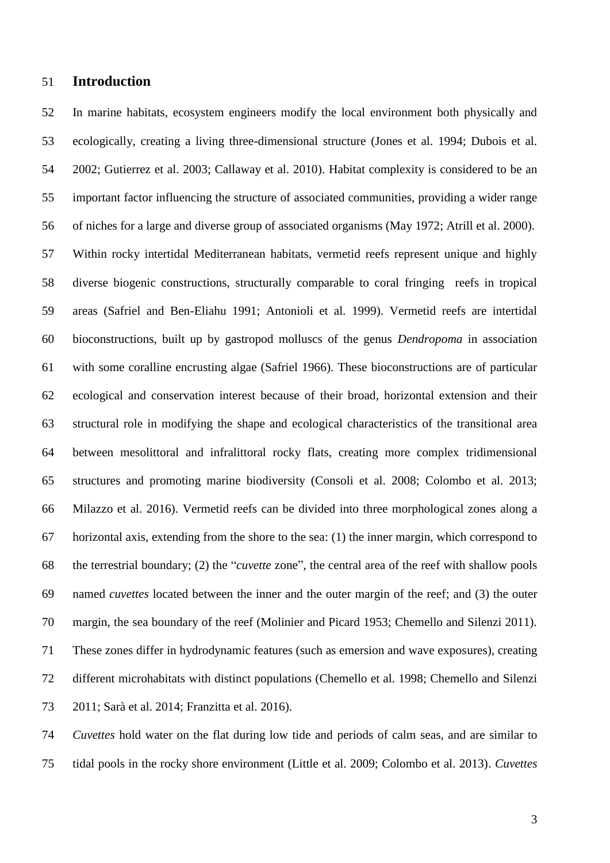# **Introduction**

 In marine habitats, ecosystem engineers modify the local environment both physically and ecologically, creating a living three-dimensional structure (Jones et al. 1994; Dubois et al. 2002; Gutierrez et al. 2003; Callaway et al. 2010). Habitat complexity is considered to be an important factor influencing the structure of associated communities, providing a wider range of niches for a large and diverse group of associated organisms (May 1972; Atrill et al. 2000). Within rocky intertidal Mediterranean habitats, vermetid reefs represent unique and highly diverse biogenic constructions, structurally comparable to coral fringing reefs in tropical areas (Safriel and Ben-Eliahu 1991; Antonioli et al. 1999). Vermetid reefs are intertidal bioconstructions, built up by gastropod molluscs of the genus *Dendropoma* in association with some coralline encrusting algae (Safriel 1966). These bioconstructions are of particular ecological and conservation interest because of their broad, horizontal extension and their structural role in modifying the shape and ecological characteristics of the transitional area between mesolittoral and infralittoral rocky flats, creating more complex tridimensional structures and promoting marine biodiversity (Consoli et al. 2008; Colombo et al. 2013; Milazzo et al. 2016). Vermetid reefs can be divided into three morphological zones along a horizontal axis, extending from the shore to the sea: (1) the inner margin, which correspond to the terrestrial boundary; (2) the "*cuvette* zone", the central area of the reef with shallow pools named *cuvettes* located between the inner and the outer margin of the reef; and (3) the outer margin, the sea boundary of the reef (Molinier and Picard 1953; Chemello and Silenzi 2011). These zones differ in hydrodynamic features (such as emersion and wave exposures), creating different microhabitats with distinct populations (Chemello et al. 1998; Chemello and Silenzi 2011; Sarà et al. 2014; Franzitta et al. 2016).

 *Cuvettes* hold water on the flat during low tide and periods of calm seas, and are similar to tidal pools in the rocky shore environment (Little et al. 2009; Colombo et al. 2013). *Cuvettes*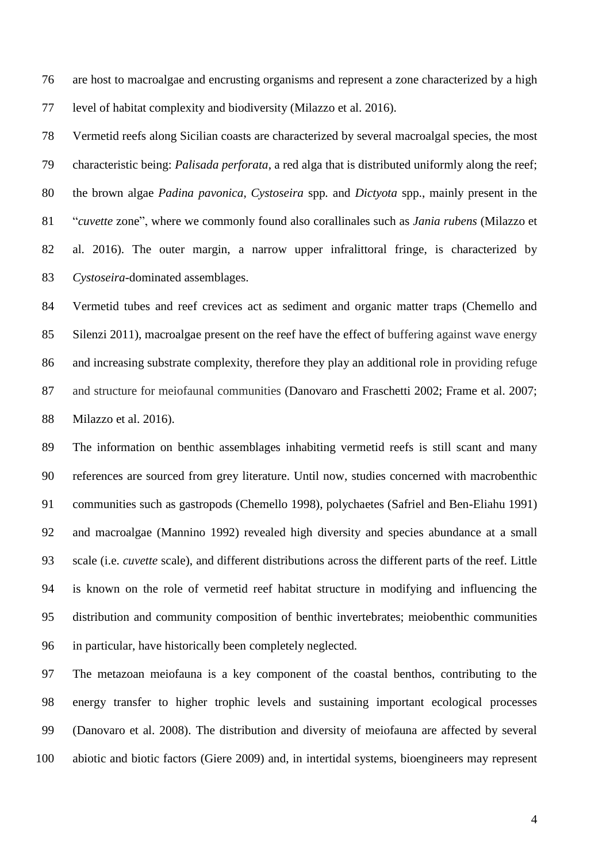are host to macroalgae and encrusting organisms and represent a zone characterized by a high level of habitat complexity and biodiversity (Milazzo et al. 2016).

 Vermetid reefs along Sicilian coasts are characterized by several macroalgal species, the most characteristic being: *Palisada perforata*, a red alga that is distributed uniformly along the reef; the brown algae *Padina pavonica*, *Cystoseira* spp*.* and *Dictyota* spp., mainly present in the "*cuvette* zone", where we commonly found also corallinales such as *Jania rubens* (Milazzo et al. 2016). The outer margin, a narrow upper infralittoral fringe, is characterized by *Cystoseira*-dominated assemblages.

 Vermetid tubes and reef crevices act as sediment and organic matter traps (Chemello and Silenzi 2011), macroalgae present on the reef have the effect of buffering against wave energy and increasing substrate complexity, therefore they play an additional role in providing refuge and structure for meiofaunal communities (Danovaro and Fraschetti 2002; Frame et al. 2007; Milazzo et al. 2016).

 The information on benthic assemblages inhabiting vermetid reefs is still scant and many references are sourced from grey literature. Until now, studies concerned with macrobenthic communities such as gastropods (Chemello 1998), polychaetes (Safriel and Ben-Eliahu 1991) and macroalgae (Mannino 1992) revealed high diversity and species abundance at a small scale (i.e. *cuvette* scale), and different distributions across the different parts of the reef. Little is known on the role of vermetid reef habitat structure in modifying and influencing the distribution and community composition of benthic invertebrates; meiobenthic communities in particular, have historically been completely neglected.

 The metazoan meiofauna is a key component of the coastal benthos, contributing to the energy transfer to higher trophic levels and sustaining important ecological processes (Danovaro et al. 2008). The distribution and diversity of meiofauna are affected by several abiotic and biotic factors (Giere 2009) and, in intertidal systems, bioengineers may represent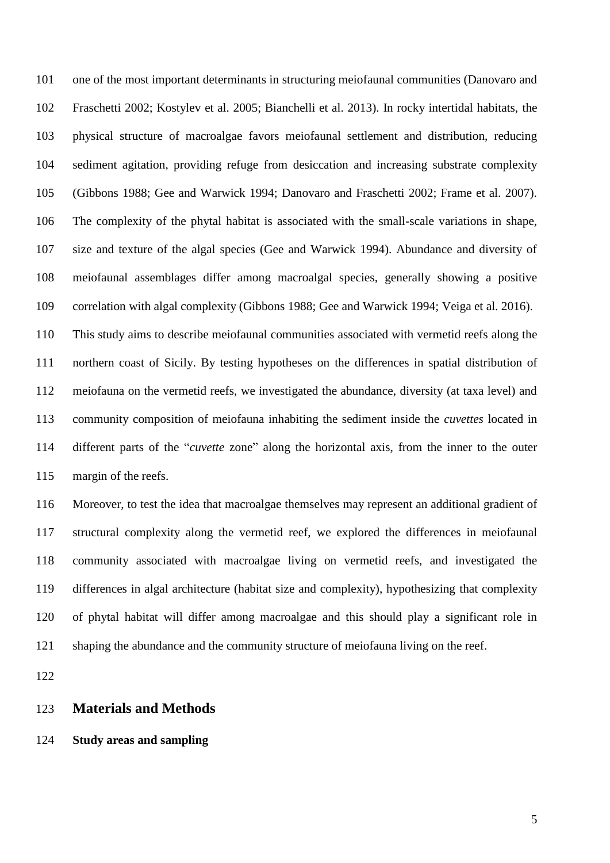one of the most important determinants in structuring meiofaunal communities (Danovaro and Fraschetti 2002; Kostylev et al. 2005; Bianchelli et al. 2013). In rocky intertidal habitats, the physical structure of macroalgae favors meiofaunal settlement and distribution, reducing sediment agitation, providing refuge from desiccation and increasing substrate complexity (Gibbons 1988; Gee and Warwick 1994; Danovaro and Fraschetti 2002; Frame et al. 2007). The complexity of the phytal habitat is associated with the small-scale variations in shape, size and texture of the algal species (Gee and Warwick 1994). Abundance and diversity of meiofaunal assemblages differ among macroalgal species, generally showing a positive correlation with algal complexity (Gibbons 1988; Gee and Warwick 1994; Veiga et al. 2016).

 This study aims to describe meiofaunal communities associated with vermetid reefs along the northern coast of Sicily. By testing hypotheses on the differences in spatial distribution of meiofauna on the vermetid reefs, we investigated the abundance, diversity (at taxa level) and community composition of meiofauna inhabiting the sediment inside the *cuvettes* located in different parts of the "*cuvette* zone" along the horizontal axis, from the inner to the outer margin of the reefs.

 Moreover, to test the idea that macroalgae themselves may represent an additional gradient of structural complexity along the vermetid reef, we explored the differences in meiofaunal community associated with macroalgae living on vermetid reefs, and investigated the differences in algal architecture (habitat size and complexity), hypothesizing that complexity of phytal habitat will differ among macroalgae and this should play a significant role in shaping the abundance and the community structure of meiofauna living on the reef.

### **Materials and Methods**

# **Study areas and sampling**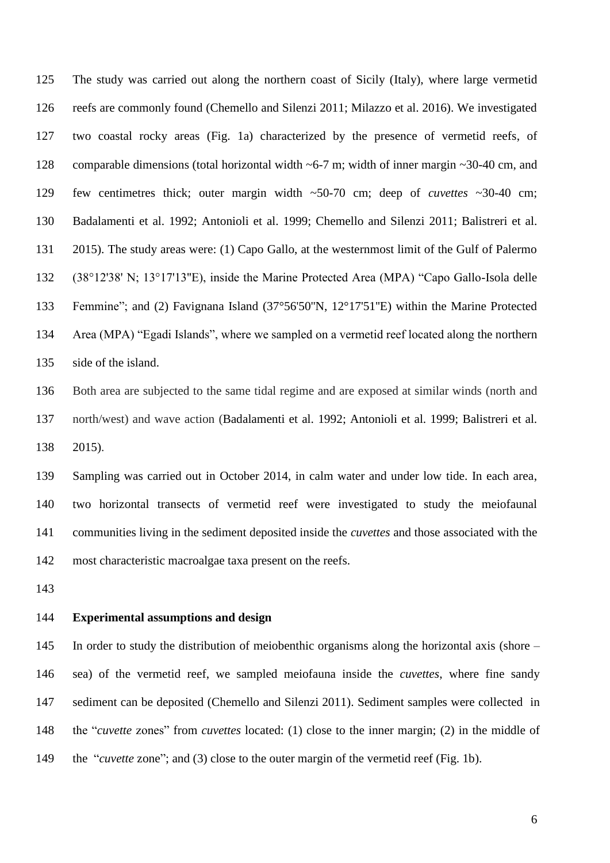The study was carried out along the northern coast of Sicily (Italy), where large vermetid reefs are commonly found (Chemello and Silenzi 2011; Milazzo et al. 2016). We investigated two coastal rocky areas (Fig. 1a) characterized by the presence of vermetid reefs, of comparable dimensions (total horizontal width ~6-7 m; width of inner margin ~30-40 cm, and few centimetres thick; outer margin width ~50-70 cm; deep of *cuvettes* ~30-40 cm; Badalamenti et al. 1992; Antonioli et al. 1999; Chemello and Silenzi 2011; Balistreri et al. 2015). The study areas were: (1) Capo Gallo, at the westernmost limit of the Gulf of Palermo (38°12'38' N; 13°17'13''E), inside the Marine Protected Area (MPA) "Capo Gallo-Isola delle Femmine"; and (2) Favignana Island (37°56'50''N, 12°17'51''E) within the Marine Protected Area (MPA) "Egadi Islands", where we sampled on a vermetid reef located along the northern side of the island.

 Both area are subjected to the same tidal regime and are exposed at similar winds (north and north/west) and wave action (Badalamenti et al. 1992; Antonioli et al. 1999; Balistreri et al. 2015).

 Sampling was carried out in October 2014, in calm water and under low tide. In each area, two horizontal transects of vermetid reef were investigated to study the meiofaunal communities living in the sediment deposited inside the *cuvettes* and those associated with the most characteristic macroalgae taxa present on the reefs.

### **Experimental assumptions and design**

 In order to study the distribution of meiobenthic organisms along the horizontal axis (shore – sea) of the vermetid reef, we sampled meiofauna inside the *cuvettes*, where fine sandy sediment can be deposited (Chemello and Silenzi 2011). Sediment samples were collected in the "*cuvette* zones" from *cuvettes* located: (1) close to the inner margin; (2) in the middle of the "*cuvette* zone"; and (3) close to the outer margin of the vermetid reef (Fig. 1b).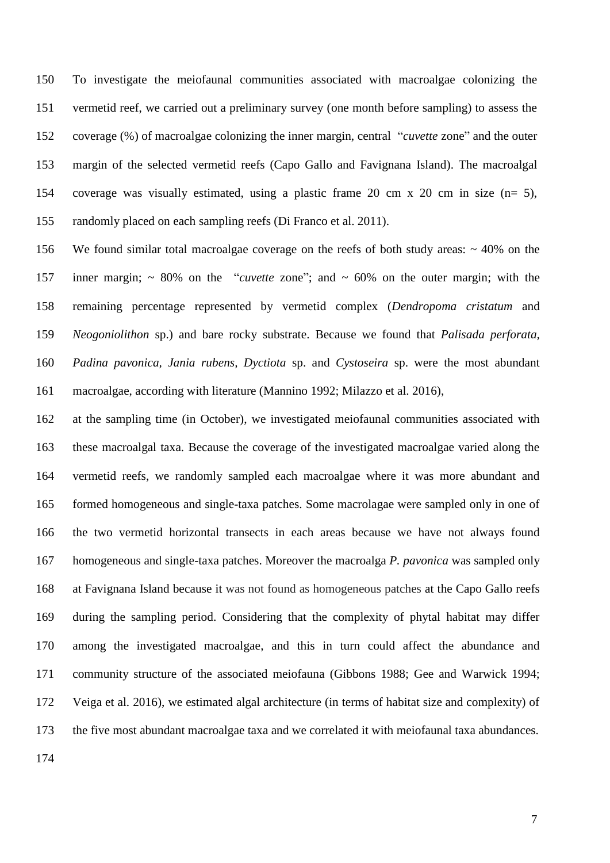To investigate the meiofaunal communities associated with macroalgae colonizing the vermetid reef, we carried out a preliminary survey (one month before sampling) to assess the coverage (%) of macroalgae colonizing the inner margin, central "*cuvette* zone" and the outer margin of the selected vermetid reefs (Capo Gallo and Favignana Island). The macroalgal coverage was visually estimated, using a plastic frame 20 cm x 20 cm in size (n= 5), randomly placed on each sampling reefs (Di Franco et al. 2011).

 We found similar total macroalgae coverage on the reefs of both study areas: ~ 40% on the inner margin; ~ 80% on the "*cuvette* zone"; and ~ 60% on the outer margin; with the remaining percentage represented by vermetid complex (*Dendropoma cristatum* and *Neogoniolithon* sp.) and bare rocky substrate. Because we found that *Palisada perforata, Padina pavonica, Jania rubens, Dyctiota* sp. and *Cystoseira* sp. were the most abundant macroalgae, according with literature (Mannino 1992; Milazzo et al. 2016),

 at the sampling time (in October), we investigated meiofaunal communities associated with these macroalgal taxa. Because the coverage of the investigated macroalgae varied along the vermetid reefs, we randomly sampled each macroalgae where it was more abundant and formed homogeneous and single-taxa patches. Some macrolagae were sampled only in one of the two vermetid horizontal transects in each areas because we have not always found homogeneous and single-taxa patches. Moreover the macroalga *P. pavonica* was sampled only at Favignana Island because it was not found as homogeneous patches at the Capo Gallo reefs during the sampling period. Considering that the complexity of phytal habitat may differ among the investigated macroalgae, and this in turn could affect the abundance and community structure of the associated meiofauna (Gibbons 1988; Gee and Warwick 1994; Veiga et al. 2016), we estimated algal architecture (in terms of habitat size and complexity) of the five most abundant macroalgae taxa and we correlated it with meiofaunal taxa abundances.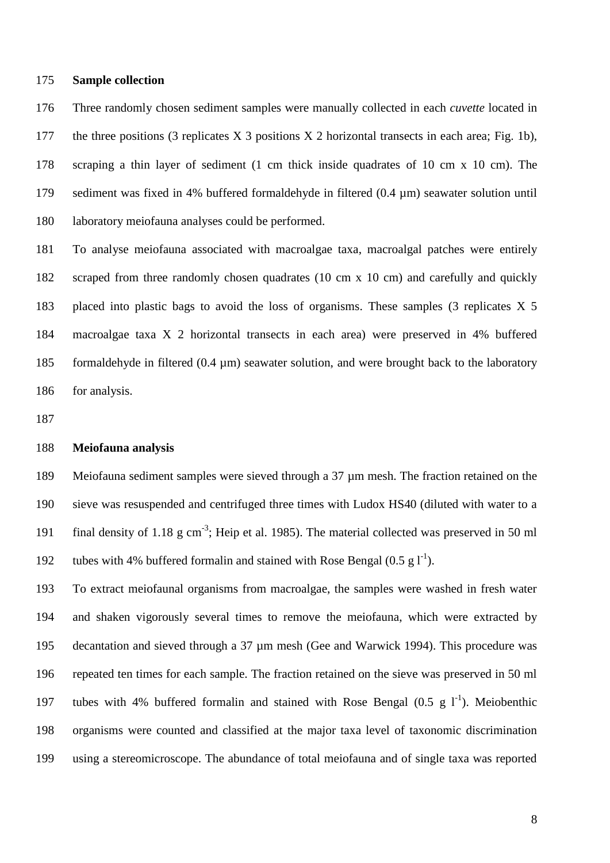#### **Sample collection**

 Three randomly chosen sediment samples were manually collected in each *cuvette* located in the three positions (3 replicates X 3 positions X 2 horizontal transects in each area; Fig. 1b), scraping a thin layer of sediment (1 cm thick inside quadrates of 10 cm x 10 cm). The sediment was fixed in 4% buffered formaldehyde in filtered (0.4 µm) seawater solution until laboratory meiofauna analyses could be performed.

 To analyse meiofauna associated with macroalgae taxa, macroalgal patches were entirely scraped from three randomly chosen quadrates (10 cm x 10 cm) and carefully and quickly placed into plastic bags to avoid the loss of organisms. These samples (3 replicates X 5 macroalgae taxa X 2 horizontal transects in each area) were preserved in 4% buffered formaldehyde in filtered (0.4 µm) seawater solution, and were brought back to the laboratory for analysis.

### **Meiofauna analysis**

 Meiofauna sediment samples were sieved through a 37 µm mesh. The fraction retained on the sieve was resuspended and centrifuged three times with Ludox HS40 (diluted with water to a 191 final density of 1.18  $g \text{ cm}^{-3}$ ; Heip et al. 1985). The material collected was preserved in 50 ml 192 tubes with 4% buffered formalin and stained with Rose Bengal  $(0.5 \text{ g} l^{\text{-}1})$ .

 To extract meiofaunal organisms from macroalgae, the samples were washed in fresh water and shaken vigorously several times to remove the meiofauna, which were extracted by decantation and sieved through a 37 µm mesh (Gee and Warwick 1994). This procedure was repeated ten times for each sample. The fraction retained on the sieve was preserved in 50 ml 197 tubes with 4% buffered formalin and stained with Rose Bengal  $(0.5 \text{ g } l<sup>-1</sup>)$ . Meiobenthic organisms were counted and classified at the major taxa level of taxonomic discrimination using a stereomicroscope. The abundance of total meiofauna and of single taxa was reported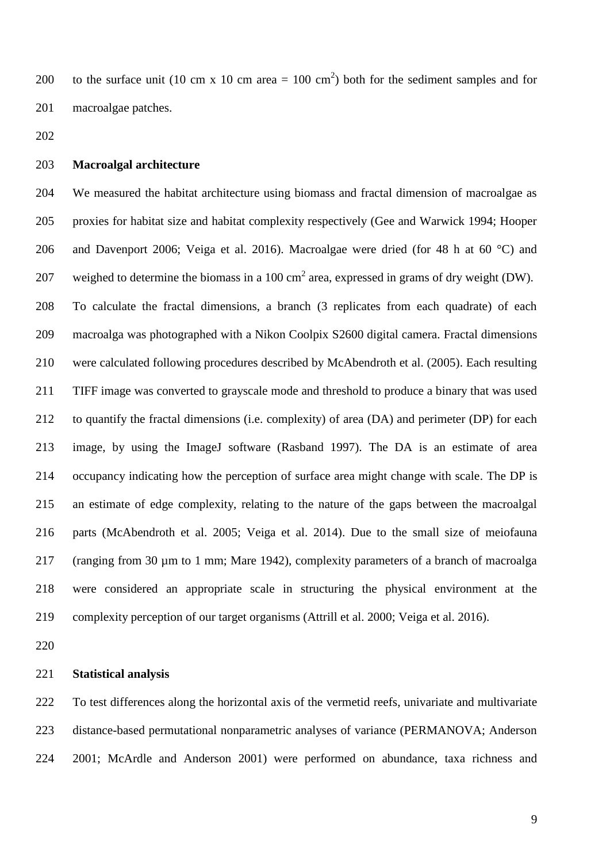200 to the surface unit (10 cm x 10 cm area = 100 cm<sup>2</sup>) both for the sediment samples and for macroalgae patches.

## **Macroalgal architecture**

 We measured the habitat architecture using biomass and fractal dimension of macroalgae as proxies for habitat size and habitat complexity respectively (Gee and Warwick 1994; Hooper and Davenport 2006; Veiga et al. 2016). Macroalgae were dried (for 48 h at 60 °C) and 207 weighed to determine the biomass in a 100 cm<sup>2</sup> area, expressed in grams of dry weight (DW). To calculate the fractal dimensions, a branch (3 replicates from each quadrate) of each macroalga was photographed with a Nikon Coolpix S2600 digital camera. Fractal dimensions were calculated following procedures described by McAbendroth et al. (2005). Each resulting TIFF image was converted to grayscale mode and threshold to produce a binary that was used to quantify the fractal dimensions (i.e. complexity) of area (DA) and perimeter (DP) for each image, by using the ImageJ software (Rasband 1997). The DA is an estimate of area occupancy indicating how the perception of surface area might change with scale. The DP is an estimate of edge complexity, relating to the nature of the gaps between the macroalgal parts (McAbendroth et al. 2005; Veiga et al. 2014). Due to the small size of meiofauna (ranging from 30 µm to 1 mm; Mare 1942), complexity parameters of a branch of macroalga were considered an appropriate scale in structuring the physical environment at the complexity perception of our target organisms (Attrill et al. 2000; Veiga et al. 2016).

#### **Statistical analysis**

 To test differences along the horizontal axis of the vermetid reefs, univariate and multivariate distance-based permutational nonparametric analyses of variance (PERMANOVA; Anderson 2001; McArdle and Anderson 2001) were performed on abundance, taxa richness and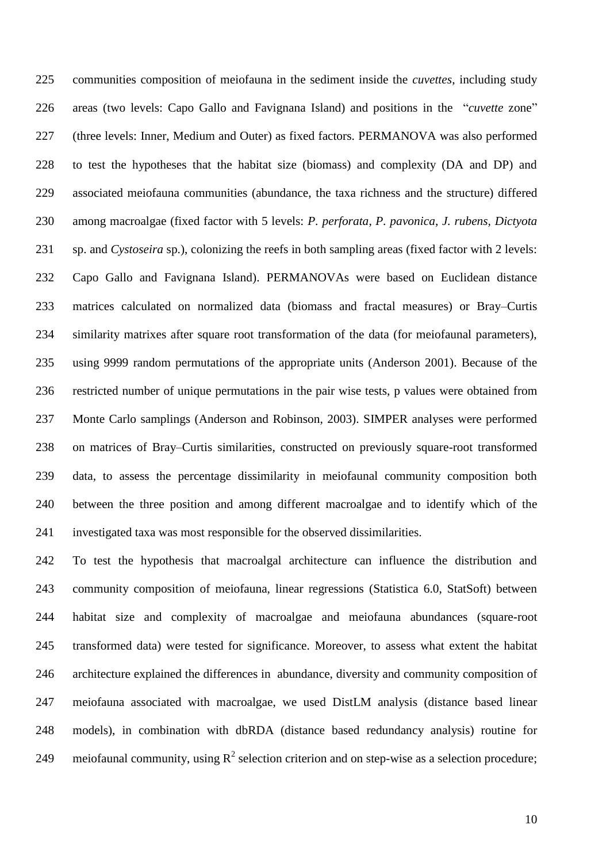communities composition of meiofauna in the sediment inside the *cuvettes*, including study areas (two levels: Capo Gallo and Favignana Island) and positions in the "*cuvette* zone" (three levels: Inner, Medium and Outer) as fixed factors. PERMANOVA was also performed to test the hypotheses that the habitat size (biomass) and complexity (DA and DP) and associated meiofauna communities (abundance, the taxa richness and the structure) differed among macroalgae (fixed factor with 5 levels: *P. perforata*, *P. pavonica*, *J. rubens, Dictyota*  sp. and *Cystoseira* sp.), colonizing the reefs in both sampling areas (fixed factor with 2 levels: Capo Gallo and Favignana Island). PERMANOVAs were based on Euclidean distance matrices calculated on normalized data (biomass and fractal measures) or Bray–Curtis similarity matrixes after square root transformation of the data (for meiofaunal parameters), using 9999 random permutations of the appropriate units (Anderson 2001). Because of the restricted number of unique permutations in the pair wise tests, p values were obtained from Monte Carlo samplings (Anderson and Robinson, 2003). SIMPER analyses were performed on matrices of Bray–Curtis similarities, constructed on previously square-root transformed data, to assess the percentage dissimilarity in meiofaunal community composition both between the three position and among different macroalgae and to identify which of the investigated taxa was most responsible for the observed dissimilarities.

 To test the hypothesis that macroalgal architecture can influence the distribution and community composition of meiofauna, linear regressions (Statistica 6.0, StatSoft) between habitat size and complexity of macroalgae and meiofauna abundances (square-root transformed data) were tested for significance. Moreover, to assess what extent the habitat architecture explained the differences in abundance, diversity and community composition of meiofauna associated with macroalgae, we used DistLM analysis (distance based linear models), in combination with dbRDA (distance based redundancy analysis) routine for 249 meiofaunal community, using  $R^2$  selection criterion and on step-wise as a selection procedure;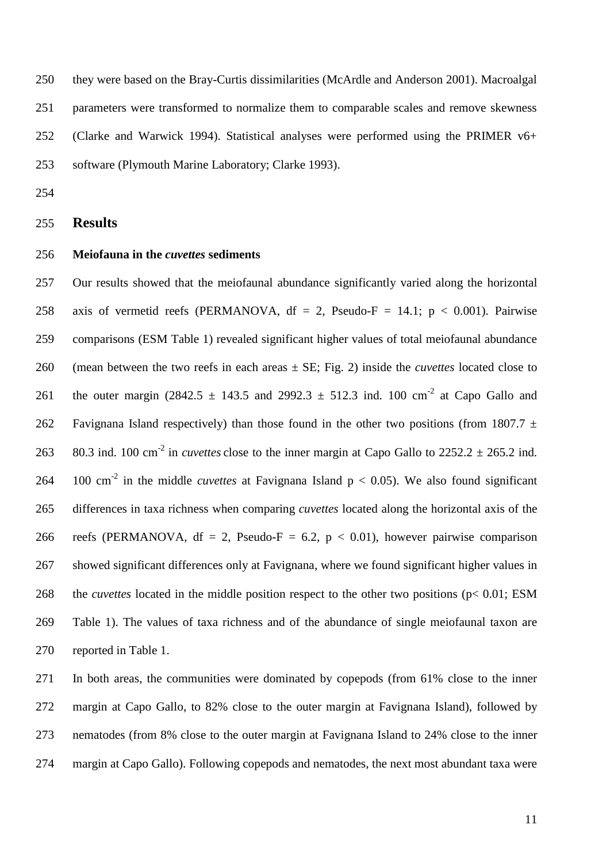they were based on the Bray-Curtis dissimilarities (McArdle and Anderson 2001). Macroalgal parameters were transformed to normalize them to comparable scales and remove skewness (Clarke and Warwick 1994). Statistical analyses were performed using the PRIMER v6+ software (Plymouth Marine Laboratory; Clarke 1993).

## **Results**

## **Meiofauna in the** *cuvettes* **sediments**

 Our results showed that the meiofaunal abundance significantly varied along the horizontal 258 axis of vermetid reefs (PERMANOVA,  $df = 2$ , Pseudo-F = 14.1; p < 0.001). Pairwise comparisons (ESM Table 1) revealed significant higher values of total meiofaunal abundance (mean between the two reefs in each areas ± SE; Fig. 2) inside the *cuvettes* located close to 261 the outer margin (2842.5  $\pm$  143.5 and 2992.3  $\pm$  512.3 ind. 100 cm<sup>-2</sup> at Capo Gallo and 262 Favignana Island respectively) than those found in the other two positions (from 1807.7  $\pm$ 263 80.3 ind. 100 cm<sup>-2</sup> in *cuvettes* close to the inner margin at Capo Gallo to  $2252.2 \pm 265.2$  ind. 264 100 cm<sup>-2</sup> in the middle *cuvettes* at Favignana Island  $p < 0.05$ ). We also found significant differences in taxa richness when comparing *cuvettes* located along the horizontal axis of the 266 reefs (PERMANOVA, df = 2, Pseudo-F = 6.2,  $p < 0.01$ ), however pairwise comparison showed significant differences only at Favignana, where we found significant higher values in the *cuvettes* located in the middle position respect to the other two positions (p< 0.01; ESM Table 1). The values of taxa richness and of the abundance of single meiofaunal taxon are reported in Table 1.

 In both areas, the communities were dominated by copepods (from 61% close to the inner margin at Capo Gallo, to 82% close to the outer margin at Favignana Island), followed by nematodes (from 8% close to the outer margin at Favignana Island to 24% close to the inner margin at Capo Gallo). Following copepods and nematodes, the next most abundant taxa were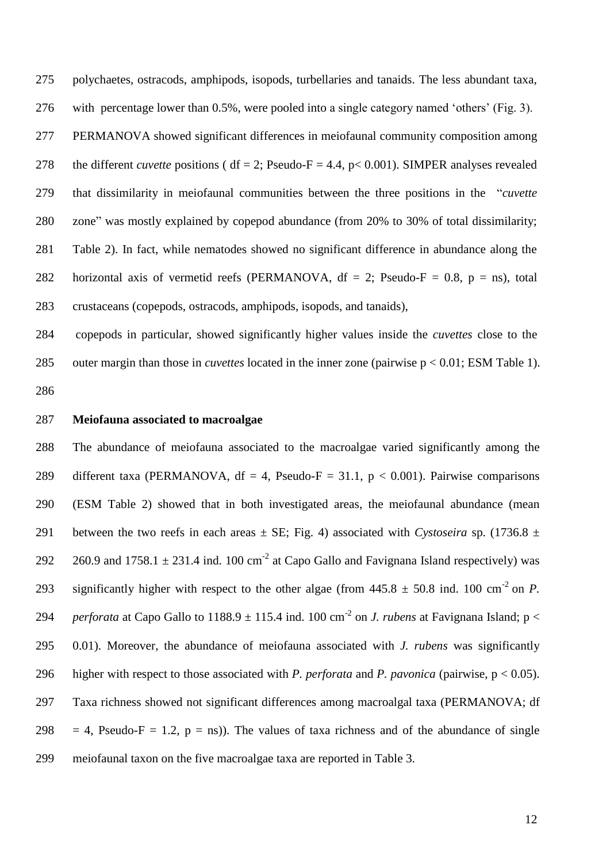polychaetes, ostracods, amphipods, isopods, turbellaries and tanaids. The less abundant taxa, with percentage lower than 0.5%, were pooled into a single category named 'others' (Fig. 3). PERMANOVA showed significant differences in meiofaunal community composition among 278 the different *cuvette* positions (  $df = 2$ ; Pseudo-F = 4.4, p< 0.001). SIMPER analyses revealed that dissimilarity in meiofaunal communities between the three positions in the "*cuvette* zone" was mostly explained by copepod abundance (from 20% to 30% of total dissimilarity; Table 2). In fact, while nematodes showed no significant difference in abundance along the 282 horizontal axis of vermetid reefs (PERMANOVA,  $df = 2$ ; Pseudo-F = 0.8, p = ns), total crustaceans (copepods, ostracods, amphipods, isopods, and tanaids),

 copepods in particular, showed significantly higher values inside the *cuvettes* close to the outer margin than those in *cuvettes* located in the inner zone (pairwise p < 0.01; ESM Table 1). 

**Meiofauna associated to macroalgae**

 The abundance of meiofauna associated to the macroalgae varied significantly among the 289 different taxa (PERMANOVA, df = 4, Pseudo-F = 31.1,  $p < 0.001$ ). Pairwise comparisons (ESM Table 2) showed that in both investigated areas, the meiofaunal abundance (mean 291 between the two reefs in each areas  $\pm$  SE; Fig. 4) associated with *Cystoseira* sp. (1736.8  $\pm$ 292 260.9 and 1758.1  $\pm$  231.4 ind. 100 cm<sup>-2</sup> at Capo Gallo and Favignana Island respectively) was significantly higher with respect to the other algae (from  $445.8 \pm 50.8$  ind. 100 cm<sup>-2</sup> on *P*. 294 *perforata* at Capo Gallo to 1188.9  $\pm$  115.4 ind. 100 cm<sup>-2</sup> on *J. rubens* at Favignana Island; p < 0.01). Moreover, the abundance of meiofauna associated with *J. rubens* was significantly higher with respect to those associated with *P. perforata* and *P. pavonica* (pairwise, p < 0.05). Taxa richness showed not significant differences among macroalgal taxa (PERMANOVA; df 298 = 4, Pseudo-F = 1.2,  $p = ns$ ). The values of taxa richness and of the abundance of single meiofaunal taxon on the five macroalgae taxa are reported in Table 3.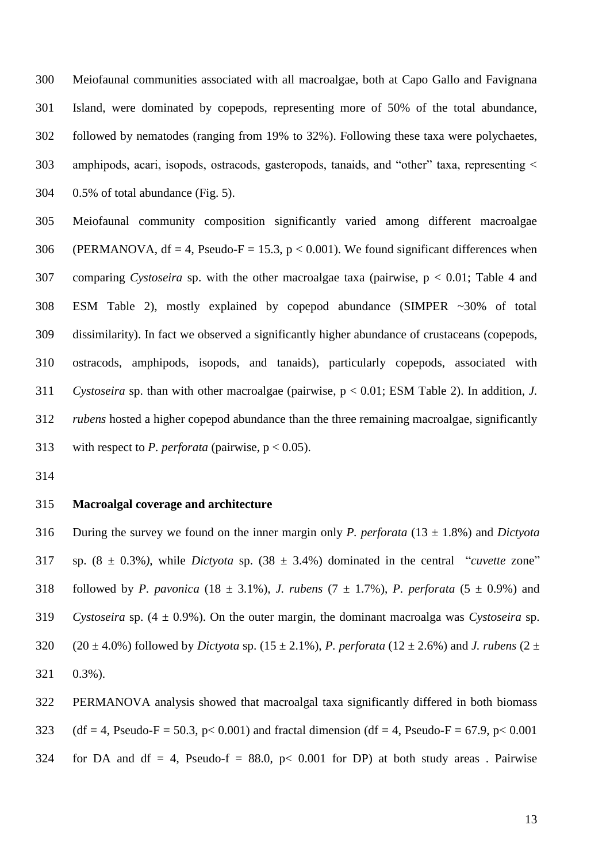Meiofaunal communities associated with all macroalgae, both at Capo Gallo and Favignana Island, were dominated by copepods, representing more of 50% of the total abundance, followed by nematodes (ranging from 19% to 32%). Following these taxa were polychaetes, amphipods, acari, isopods, ostracods, gasteropods, tanaids, and "other" taxa, representing < 0.5% of total abundance (Fig. 5).

 Meiofaunal community composition significantly varied among different macroalgae 306 (PERMANOVA,  $df = 4$ , Pseudo-F = 15.3, p < 0.001). We found significant differences when comparing *Cystoseira* sp. with the other macroalgae taxa (pairwise, p < 0.01; Table 4 and ESM Table 2), mostly explained by copepod abundance (SIMPER ~30% of total dissimilarity). In fact we observed a significantly higher abundance of crustaceans (copepods, ostracods, amphipods, isopods, and tanaids), particularly copepods, associated with *Cystoseira* sp. than with other macroalgae (pairwise, p < 0.01; ESM Table 2). In addition, *J. rubens* hosted a higher copepod abundance than the three remaining macroalgae, significantly with respect to *P. perforata* (pairwise, p < 0.05).

# **Macroalgal coverage and architecture**

 During the survey we found on the inner margin only *P. perforata* (13 ± 1.8%) and *Dictyota*  sp. (8 ± 0.3%*)*, while *Dictyota* sp. (38 ± 3.4%) dominated in the central "*cuvette* zone" 318 followed by *P. pavonica* (18  $\pm$  3.1%), *J. rubens* (7  $\pm$  1.7%), *P. perforata* (5  $\pm$  0.9%) and *Cystoseira* sp. (4 ± 0.9%). On the outer margin, the dominant macroalga was *Cystoseira* sp. 320 (20  $\pm$  4.0%) followed by *Dictyota* sp. (15  $\pm$  2.1%), *P. perforata* (12  $\pm$  2.6%) and *J. rubens* (2  $\pm$ 0.3%).

 PERMANOVA analysis showed that macroalgal taxa significantly differed in both biomass 323 (df = 4, Pseudo-F = 50.3, p< 0.001) and fractal dimension (df = 4, Pseudo-F = 67.9, p< 0.001

324 for DA and df = 4, Pseudo-f = 88.0,  $p < 0.001$  for DP) at both study areas. Pairwise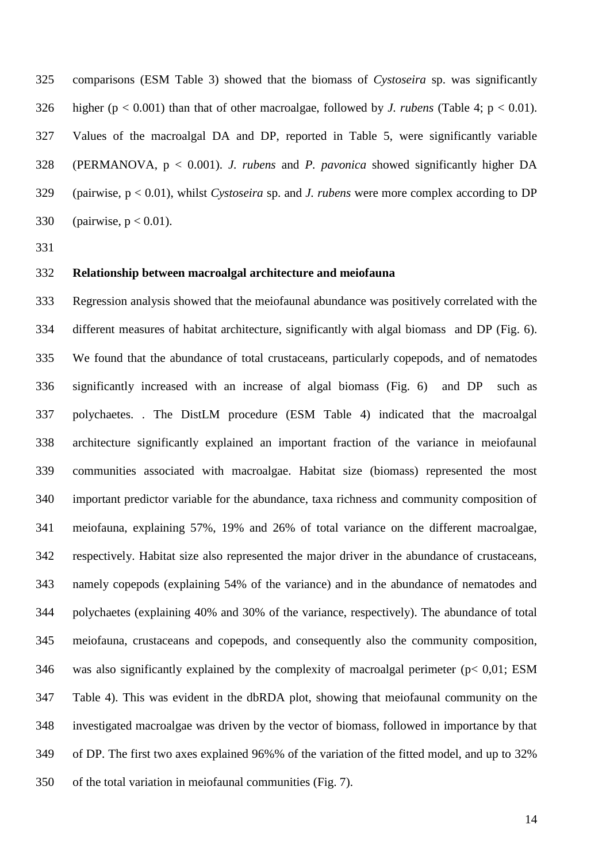comparisons (ESM Table 3) showed that the biomass of *Cystoseira* sp. was significantly 326 higher ( $p < 0.001$ ) than that of other macroalgae, followed by *J. rubens* (Table 4;  $p < 0.01$ ). Values of the macroalgal DA and DP, reported in Table 5, were significantly variable (PERMANOVA, p < 0.001). *J. rubens* and *P. pavonica* showed significantly higher DA (pairwise, p < 0.01), whilst *Cystoseira* sp. and *J. rubens* were more complex according to DP 330 (pairwise,  $p < 0.01$ ).

#### **Relationship between macroalgal architecture and meiofauna**

 Regression analysis showed that the meiofaunal abundance was positively correlated with the different measures of habitat architecture, significantly with algal biomass and DP (Fig. 6). We found that the abundance of total crustaceans, particularly copepods, and of nematodes significantly increased with an increase of algal biomass (Fig. 6) and DP such as polychaetes. . The DistLM procedure (ESM Table 4) indicated that the macroalgal architecture significantly explained an important fraction of the variance in meiofaunal communities associated with macroalgae. Habitat size (biomass) represented the most important predictor variable for the abundance, taxa richness and community composition of meiofauna, explaining 57%, 19% and 26% of total variance on the different macroalgae, respectively. Habitat size also represented the major driver in the abundance of crustaceans, namely copepods (explaining 54% of the variance) and in the abundance of nematodes and polychaetes (explaining 40% and 30% of the variance, respectively). The abundance of total meiofauna, crustaceans and copepods, and consequently also the community composition, 346 was also significantly explained by the complexity of macroalgal perimeter ( $p < 0.01$ ; ESM Table 4). This was evident in the dbRDA plot, showing that meiofaunal community on the investigated macroalgae was driven by the vector of biomass, followed in importance by that of DP. The first two axes explained 96%% of the variation of the fitted model, and up to 32% of the total variation in meiofaunal communities (Fig. 7).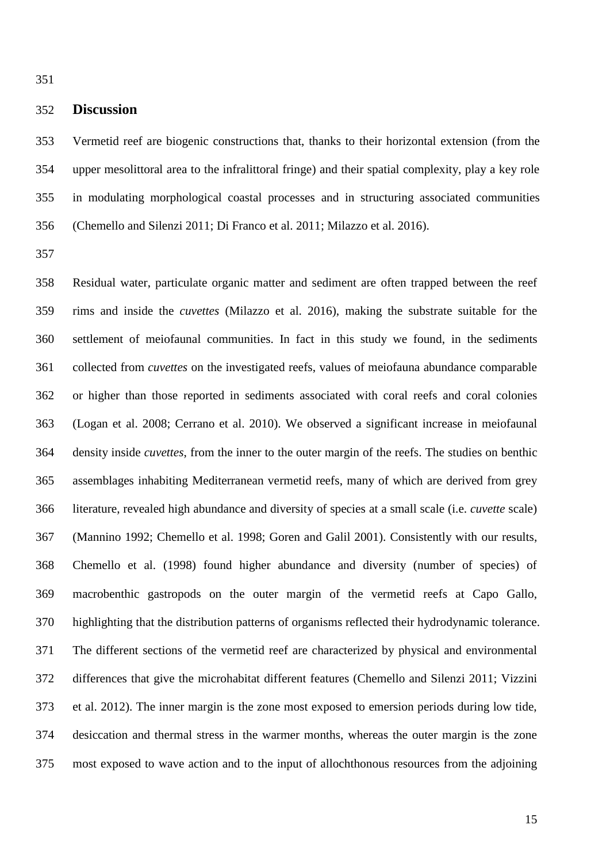# **Discussion**

 Vermetid reef are biogenic constructions that, thanks to their horizontal extension (from the upper mesolittoral area to the infralittoral fringe) and their spatial complexity, play a key role in modulating morphological coastal processes and in structuring associated communities (Chemello and Silenzi 2011; Di Franco et al. 2011; Milazzo et al. 2016).

 Residual water, particulate organic matter and sediment are often trapped between the reef rims and inside the *cuvettes* (Milazzo et al. 2016), making the substrate suitable for the settlement of meiofaunal communities. In fact in this study we found, in the sediments collected from *cuvettes* on the investigated reefs, values of meiofauna abundance comparable or higher than those reported in sediments associated with coral reefs and coral colonies (Logan et al. 2008; Cerrano et al. 2010). We observed a significant increase in meiofaunal density inside *cuvettes*, from the inner to the outer margin of the reefs. The studies on benthic assemblages inhabiting Mediterranean vermetid reefs, many of which are derived from grey literature, revealed high abundance and diversity of species at a small scale (i.e. *cuvette* scale) (Mannino 1992; Chemello et al. 1998; Goren and Galil 2001). Consistently with our results, Chemello et al. (1998) found higher abundance and diversity (number of species) of macrobenthic gastropods on the outer margin of the vermetid reefs at Capo Gallo, highlighting that the distribution patterns of organisms reflected their hydrodynamic tolerance. The different sections of the vermetid reef are characterized by physical and environmental differences that give the microhabitat different features (Chemello and Silenzi 2011; Vizzini et al. 2012). The inner margin is the zone most exposed to emersion periods during low tide, desiccation and thermal stress in the warmer months, whereas the outer margin is the zone most exposed to wave action and to the input of allochthonous resources from the adjoining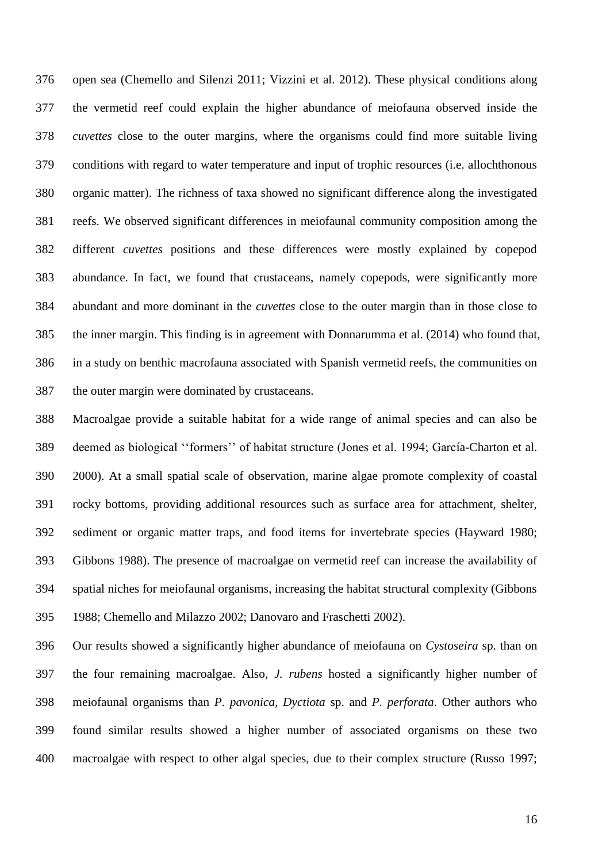open sea (Chemello and Silenzi 2011; Vizzini et al. 2012). These physical conditions along the vermetid reef could explain the higher abundance of meiofauna observed inside the *cuvettes* close to the outer margins, where the organisms could find more suitable living conditions with regard to water temperature and input of trophic resources (i.e. allochthonous organic matter). The richness of taxa showed no significant difference along the investigated reefs. We observed significant differences in meiofaunal community composition among the different *cuvettes* positions and these differences were mostly explained by copepod abundance. In fact, we found that crustaceans, namely copepods, were significantly more abundant and more dominant in the *cuvettes* close to the outer margin than in those close to the inner margin. This finding is in agreement with Donnarumma et al. (2014) who found that, in a study on benthic macrofauna associated with Spanish vermetid reefs, the communities on the outer margin were dominated by crustaceans.

 Macroalgae provide a suitable habitat for a wide range of animal species and can also be deemed as biological ''formers'' of habitat structure (Jones et al. 1994; García-Charton et al. 2000). At a small spatial scale of observation, marine algae promote complexity of coastal rocky bottoms, providing additional resources such as surface area for attachment, shelter, sediment or organic matter traps, and food items for invertebrate species (Hayward 1980; Gibbons 1988). The presence of macroalgae on vermetid reef can increase the availability of spatial niches for meiofaunal organisms, increasing the habitat structural complexity (Gibbons 1988; Chemello and Milazzo 2002; Danovaro and Fraschetti 2002).

 Our results showed a significantly higher abundance of meiofauna on *Cystoseira* sp. than on the four remaining macroalgae. Also, *J. rubens* hosted a significantly higher number of meiofaunal organisms than *P. pavonica, Dyctiota* sp. and *P. perforata*. Other authors who found similar results showed a higher number of associated organisms on these two macroalgae with respect to other algal species, due to their complex structure (Russo 1997;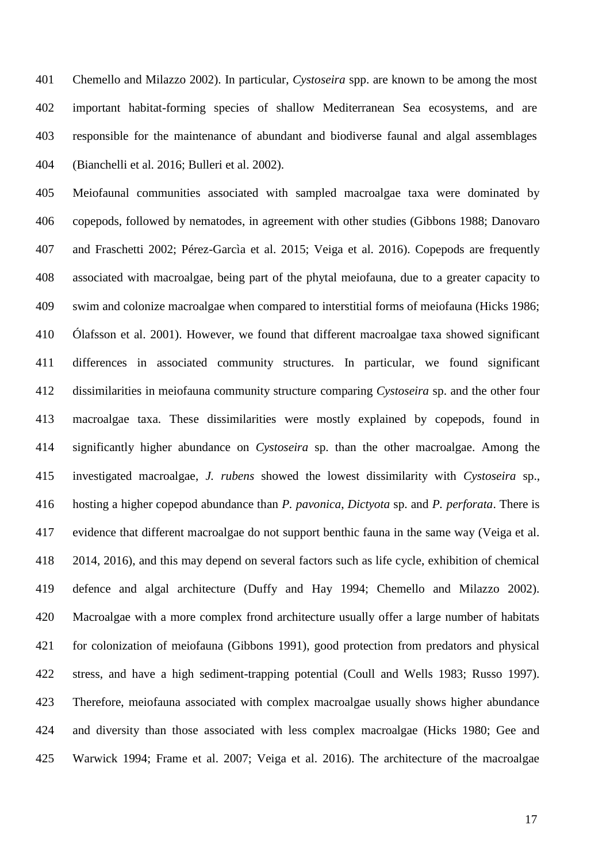Chemello and Milazzo 2002). In particular, *Cystoseira* spp. are known to be among the most important habitat-forming species of shallow Mediterranean Sea ecosystems, and are responsible for the maintenance of abundant and biodiverse faunal and algal assemblages (Bianchelli et al. 2016; Bulleri et al. 2002).

 Meiofaunal communities associated with sampled macroalgae taxa were dominated by copepods, followed by nematodes, in agreement with other studies (Gibbons 1988; Danovaro and Fraschetti 2002; Pérez-Garcìa et al. 2015; Veiga et al. 2016). Copepods are frequently associated with macroalgae, being part of the phytal meiofauna, due to a greater capacity to swim and colonize macroalgae when compared to interstitial forms of meiofauna (Hicks 1986; Ólafsson et al. 2001). However, we found that different macroalgae taxa showed significant differences in associated community structures. In particular, we found significant dissimilarities in meiofauna community structure comparing *Cystoseira* sp. and the other four macroalgae taxa. These dissimilarities were mostly explained by copepods, found in significantly higher abundance on *Cystoseira* sp. than the other macroalgae. Among the investigated macroalgae, *J. rubens* showed the lowest dissimilarity with *Cystoseira* sp., hosting a higher copepod abundance than *P. pavonica*, *Dictyota* sp. and *P. perforata*. There is evidence that different macroalgae do not support benthic fauna in the same way (Veiga et al. 2014, 2016), and this may depend on several factors such as life cycle, exhibition of chemical defence and algal architecture (Duffy and Hay 1994; Chemello and Milazzo 2002). Macroalgae with a more complex frond architecture usually offer a large number of habitats for colonization of meiofauna (Gibbons 1991), good protection from predators and physical stress, and have a high sediment-trapping potential (Coull and Wells 1983; Russo 1997). Therefore, meiofauna associated with complex macroalgae usually shows higher abundance and diversity than those associated with less complex macroalgae (Hicks 1980; Gee and Warwick 1994; Frame et al. 2007; Veiga et al. 2016). The architecture of the macroalgae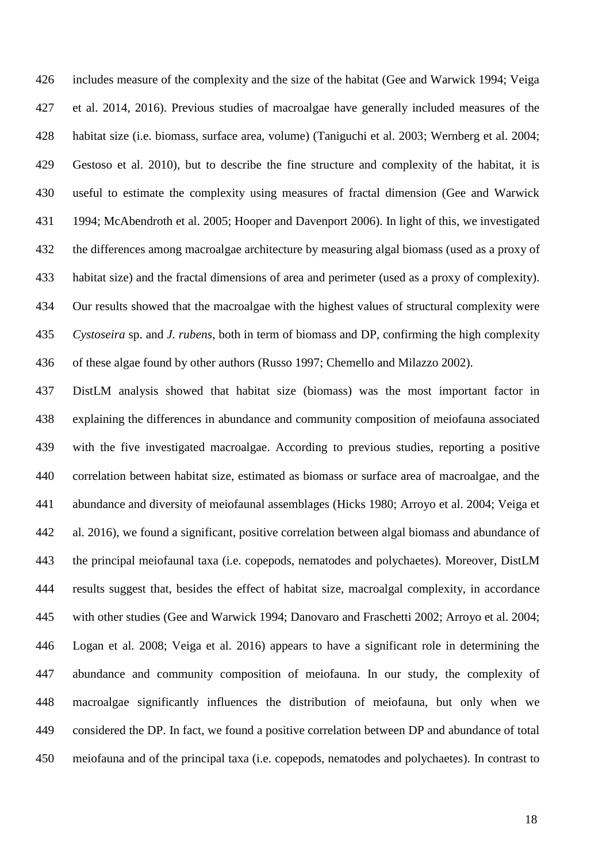includes measure of the complexity and the size of the habitat (Gee and Warwick 1994; Veiga et al. 2014, 2016). Previous studies of macroalgae have generally included measures of the habitat size (i.e. biomass, surface area, volume) (Taniguchi et al. 2003; Wernberg et al. 2004; Gestoso et al. 2010), but to describe the fine structure and complexity of the habitat, it is useful to estimate the complexity using measures of fractal dimension (Gee and Warwick 1994; McAbendroth et al. 2005; Hooper and Davenport 2006). In light of this, we investigated the differences among macroalgae architecture by measuring algal biomass (used as a proxy of habitat size) and the fractal dimensions of area and perimeter (used as a proxy of complexity). Our results showed that the macroalgae with the highest values of structural complexity were *Cystoseira* sp. and *J. rubens*, both in term of biomass and DP, confirming the high complexity of these algae found by other authors (Russo 1997; Chemello and Milazzo 2002).

 DistLM analysis showed that habitat size (biomass) was the most important factor in explaining the differences in abundance and community composition of meiofauna associated with the five investigated macroalgae. According to previous studies, reporting a positive correlation between habitat size, estimated as biomass or surface area of macroalgae, and the abundance and diversity of meiofaunal assemblages (Hicks 1980; Arroyo et al. 2004; Veiga et al. 2016), we found a significant, positive correlation between algal biomass and abundance of the principal meiofaunal taxa (i.e. copepods, nematodes and polychaetes). Moreover, DistLM results suggest that, besides the effect of habitat size, macroalgal complexity, in accordance with other studies (Gee and Warwick 1994; Danovaro and Fraschetti 2002; Arroyo et al. 2004; Logan et al. 2008; Veiga et al. 2016) appears to have a significant role in determining the abundance and community composition of meiofauna. In our study, the complexity of macroalgae significantly influences the distribution of meiofauna, but only when we considered the DP. In fact, we found a positive correlation between DP and abundance of total meiofauna and of the principal taxa (i.e. copepods, nematodes and polychaetes). In contrast to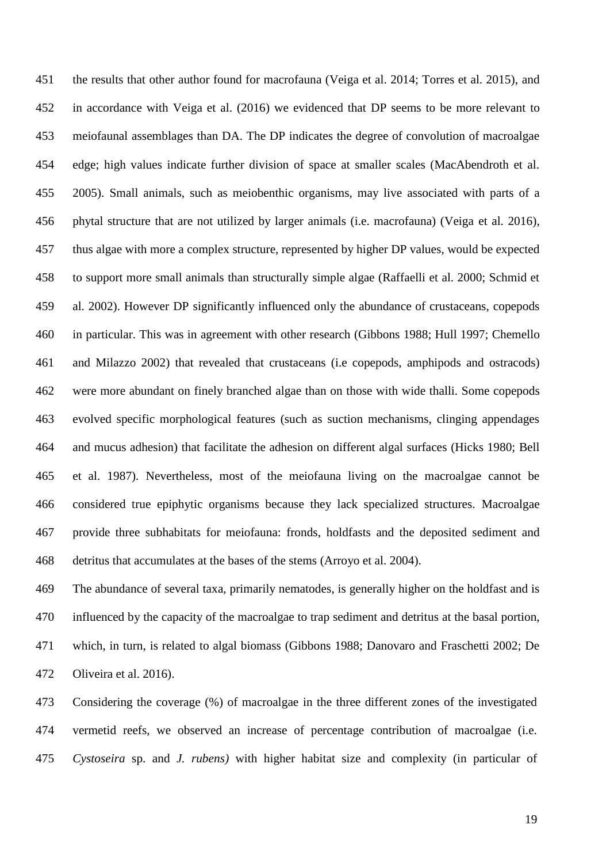the results that other author found for macrofauna (Veiga et al. 2014; Torres et al. 2015), and in accordance with Veiga et al. (2016) we evidenced that DP seems to be more relevant to meiofaunal assemblages than DA. The DP indicates the degree of convolution of macroalgae edge; high values indicate further division of space at smaller scales (MacAbendroth et al. 2005). Small animals, such as meiobenthic organisms, may live associated with parts of a phytal structure that are not utilized by larger animals (i.e. macrofauna) (Veiga et al. 2016), thus algae with more a complex structure, represented by higher DP values, would be expected to support more small animals than structurally simple algae (Raffaelli et al. 2000; Schmid et al. 2002). However DP significantly influenced only the abundance of crustaceans, copepods in particular. This was in agreement with other research (Gibbons 1988; Hull 1997; Chemello and Milazzo 2002) that revealed that crustaceans (i.e copepods, amphipods and ostracods) were more abundant on finely branched algae than on those with wide thalli. Some copepods evolved specific morphological features (such as suction mechanisms, clinging appendages and mucus adhesion) that facilitate the adhesion on different algal surfaces (Hicks 1980; Bell et al. 1987). Nevertheless, most of the meiofauna living on the macroalgae cannot be considered true epiphytic organisms because they lack specialized structures. Macroalgae provide three subhabitats for meiofauna: fronds, holdfasts and the deposited sediment and detritus that accumulates at the bases of the stems (Arroyo et al. 2004).

 The abundance of several taxa, primarily nematodes, is generally higher on the holdfast and is influenced by the capacity of the macroalgae to trap sediment and detritus at the basal portion, which, in turn, is related to algal biomass (Gibbons 1988; Danovaro and Fraschetti 2002; De Oliveira et al. 2016).

 Considering the coverage (%) of macroalgae in the three different zones of the investigated vermetid reefs, we observed an increase of percentage contribution of macroalgae (i.e. *Cystoseira* sp. and *J. rubens)* with higher habitat size and complexity (in particular of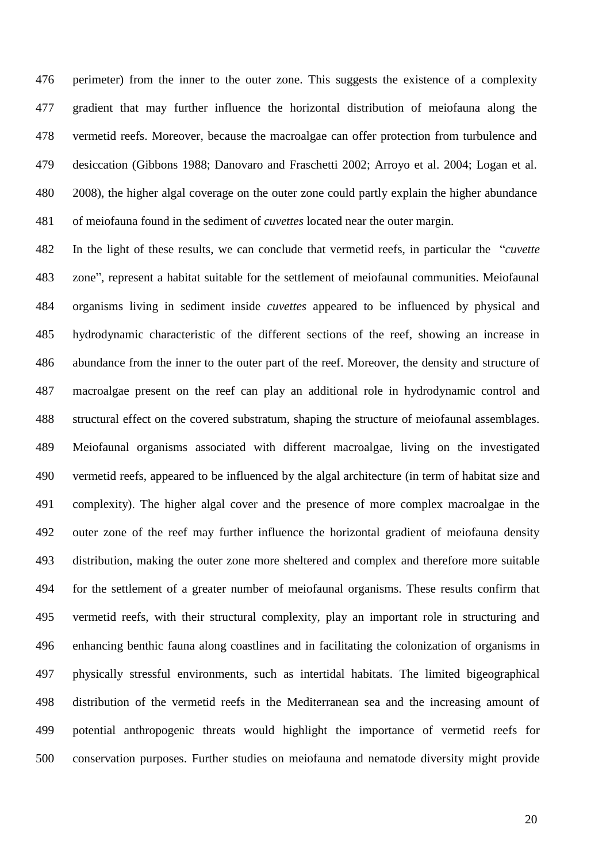perimeter) from the inner to the outer zone. This suggests the existence of a complexity gradient that may further influence the horizontal distribution of meiofauna along the vermetid reefs. Moreover, because the macroalgae can offer protection from turbulence and desiccation (Gibbons 1988; Danovaro and Fraschetti 2002; Arroyo et al. 2004; Logan et al. 2008), the higher algal coverage on the outer zone could partly explain the higher abundance of meiofauna found in the sediment of *cuvettes* located near the outer margin.

 In the light of these results, we can conclude that vermetid reefs, in particular the "*cuvette* zone", represent a habitat suitable for the settlement of meiofaunal communities. Meiofaunal organisms living in sediment inside *cuvettes* appeared to be influenced by physical and hydrodynamic characteristic of the different sections of the reef, showing an increase in abundance from the inner to the outer part of the reef. Moreover, the density and structure of macroalgae present on the reef can play an additional role in hydrodynamic control and structural effect on the covered substratum, shaping the structure of meiofaunal assemblages. Meiofaunal organisms associated with different macroalgae, living on the investigated vermetid reefs, appeared to be influenced by the algal architecture (in term of habitat size and complexity). The higher algal cover and the presence of more complex macroalgae in the outer zone of the reef may further influence the horizontal gradient of meiofauna density distribution, making the outer zone more sheltered and complex and therefore more suitable for the settlement of a greater number of meiofaunal organisms. These results confirm that vermetid reefs, with their structural complexity, play an important role in structuring and enhancing benthic fauna along coastlines and in facilitating the colonization of organisms in physically stressful environments, such as intertidal habitats. The limited bigeographical distribution of the vermetid reefs in the Mediterranean sea and the increasing amount of potential anthropogenic threats would highlight the importance of vermetid reefs for conservation purposes. Further studies on meiofauna and nematode diversity might provide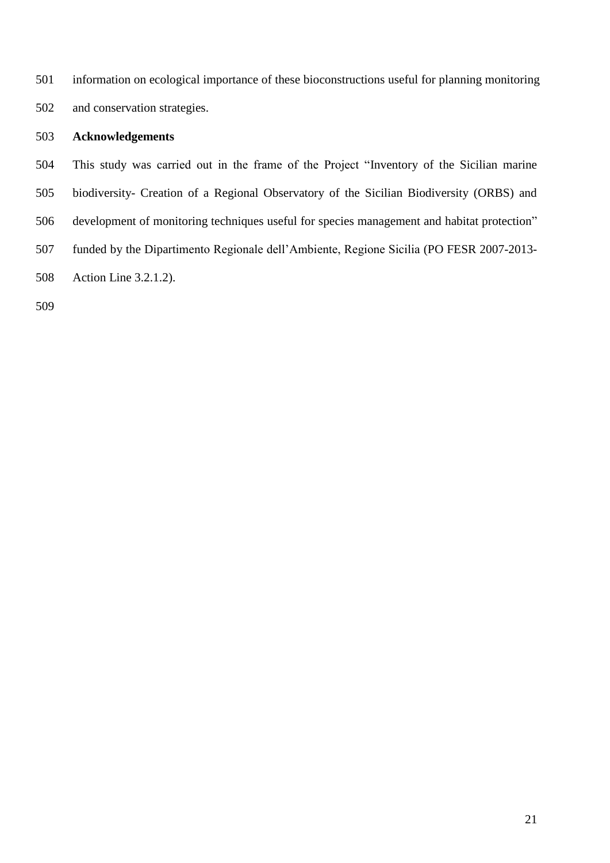information on ecological importance of these bioconstructions useful for planning monitoring and conservation strategies.

## **Acknowledgements**

 This study was carried out in the frame of the Project "Inventory of the Sicilian marine biodiversity- Creation of a Regional Observatory of the Sicilian Biodiversity (ORBS) and development of monitoring techniques useful for species management and habitat protection" funded by the Dipartimento Regionale dell'Ambiente, Regione Sicilia (PO FESR 2007-2013- Action Line 3.2.1.2).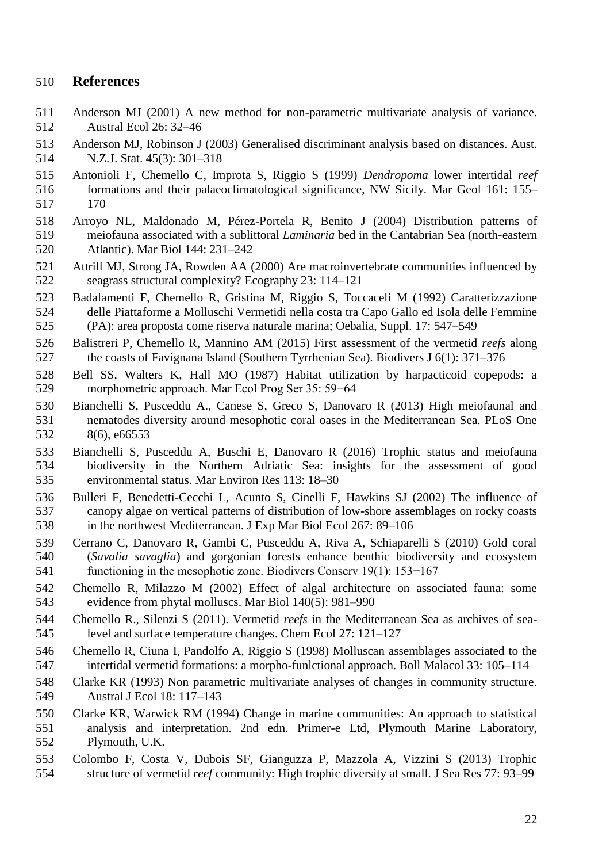# **References**

- Anderson MJ (2001) A new method for non-parametric multivariate analysis of variance. Austral Ecol 26: 32–46
- Anderson MJ, Robinson J (2003) Generalised discriminant analysis based on distances. Aust. N.Z.J. Stat. 45(3): 301–318
- Antonioli F, Chemello C, Improta S, Riggio S (1999) *Dendropoma* lower intertidal *reef*
- formations and their palaeoclimatological significance, NW Sicily. Mar Geol 161: 155– 170
- Arroyo NL, Maldonado M, Pérez-Portela R, Benito J (2004) Distribution patterns of meiofauna associated with a sublittoral *Laminaria* bed in the Cantabrian Sea (north-eastern Atlantic). Mar Biol 144: 231–242
- Attrill MJ, Strong JA, Rowden AA (2000) Are macroinvertebrate communities influenced by seagrass structural complexity? Ecography 23: 114–121
- Badalamenti F, Chemello R, Gristina M, Riggio S, Toccaceli M (1992) Caratterizzazione delle Piattaforme a Molluschi Vermetidi nella costa tra Capo Gallo ed Isola delle Femmine (PA): area proposta come riserva naturale marina; Oebalia, Suppl. 17: 547–549
- Balistreri P, Chemello R, Mannino AM (2015) First assessment of the vermetid *reefs* along the coasts of Favignana Island (Southern Tyrrhenian Sea). Biodivers J 6(1): 371–376
- Bell SS, Walters K, Hall MO (1987) Habitat utilization by harpacticoid copepods: a morphometric approach. Mar Ecol Prog Ser 35: 59−64
- Bianchelli S, Pusceddu A., Canese S, Greco S, Danovaro R (2013) High meiofaunal and nematodes diversity around mesophotic coral oases in the Mediterranean Sea. PLoS One 8(6), e66553
- Bianchelli S, Pusceddu A, Buschi E, Danovaro R (2016) Trophic status and meiofauna biodiversity in the Northern Adriatic Sea: insights for the assessment of good environmental status. Mar Environ Res 113: 18–30
- Bulleri F, Benedetti-Cecchi L, Acunto S, Cinelli F, Hawkins SJ (2002) The influence of canopy algae on vertical patterns of distribution of low-shore assemblages on rocky coasts in the northwest Mediterranean. J Exp Mar Biol Ecol 267: 89–106
- Cerrano C, Danovaro R, Gambi C, Pusceddu A, Riva A, Schiaparelli S (2010) Gold coral (*Savalia savaglia*) and gorgonian forests enhance benthic biodiversity and ecosystem functioning in the mesophotic zone. Biodivers Conserv 19(1): 153−167
- Chemello R, Milazzo M (2002) Effect of algal architecture on associated fauna: some evidence from phytal molluscs. Mar Biol 140(5): 981–990
- Chemello R., Silenzi S (2011). Vermetid *reefs* in the Mediterranean Sea as archives of sea-level and surface temperature changes. Chem Ecol 27: 121–127
- Chemello R, Ciuna I, Pandolfo A, Riggio S (1998) Molluscan assemblages associated to the intertidal vermetid formations: a morpho-funlctional approach. Boll Malacol 33: 105–114
- Clarke KR (1993) Non parametric multivariate analyses of changes in community structure. Austral J Ecol 18: 117–143
- Clarke KR, Warwick RM (1994) Change in marine communities: An approach to statistical analysis and interpretation. 2nd edn. Primer-e Ltd, Plymouth Marine Laboratory, Plymouth, U.K.
- Colombo F, Costa V, Dubois SF, Gianguzza P, Mazzola A, Vizzini S (2013) Trophic structure of vermetid *reef* community: High trophic diversity at small. J Sea Res 77: 93–99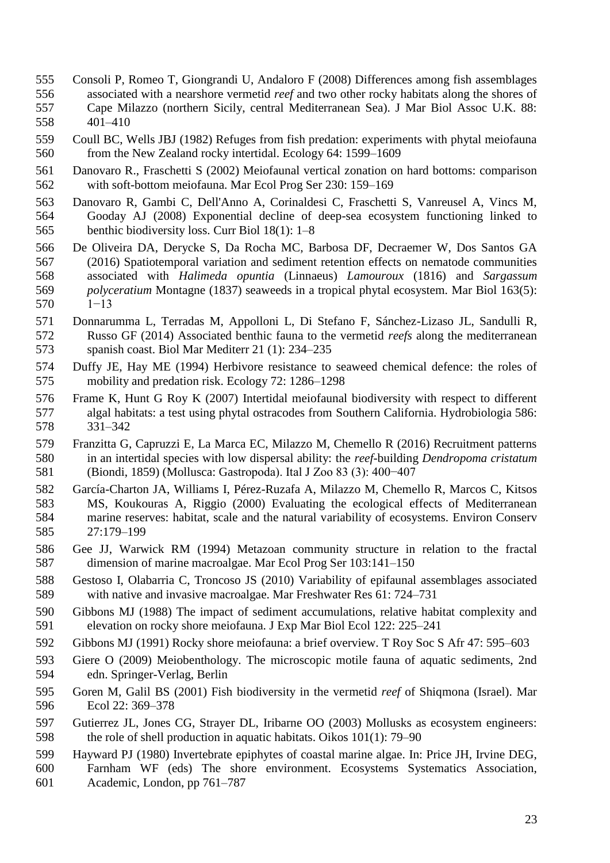- Consoli P, Romeo T, Giongrandi U, Andaloro F (2008) Differences among fish assemblages associated with a nearshore vermetid *reef* and two other rocky habitats along the shores of Cape Milazzo (northern Sicily, central Mediterranean Sea). J Mar Biol Assoc U.K. 88: 401–410
- Coull BC, Wells JBJ (1982) Refuges from fish predation: experiments with phytal meiofauna from the New Zealand rocky intertidal. Ecology 64: 1599–1609
- Danovaro R., Fraschetti S (2002) Meiofaunal vertical zonation on hard bottoms: comparison with soft-bottom meiofauna. Mar Ecol Prog Ser 230: 159–169
- Danovaro R, Gambi C, Dell'Anno A, Corinaldesi C, Fraschetti S, Vanreusel A, Vincs M, Gooday AJ (2008) Exponential decline of deep-sea ecosystem functioning linked to benthic biodiversity loss. Curr Biol 18(1): 1–8
- De Oliveira DA, Derycke S, Da Rocha MC, Barbosa DF, Decraemer W, Dos Santos GA (2016) Spatiotemporal variation and sediment retention effects on nematode communities associated with *Halimeda opuntia* (Linnaeus) *Lamouroux* (1816) and *Sargassum polyceratium* Montagne (1837) seaweeds in a tropical phytal ecosystem. Mar Biol 163(5): 1−13
- Donnarumma L, Terradas M, Appolloni L, Di Stefano F, Sánchez-Lizaso JL, Sandulli R, Russo GF (2014) Associated benthic fauna to the vermetid *reefs* along the mediterranean spanish coast. Biol Mar Mediterr 21 (1): 234–235
- Duffy JE, Hay ME (1994) Herbivore resistance to seaweed chemical defence: the roles of mobility and predation risk. Ecology 72: 1286–1298
- Frame K, Hunt G Roy K (2007) Intertidal meiofaunal biodiversity with respect to different algal habitats: a test using phytal ostracodes from Southern California. Hydrobiologia 586: 331–342
- Franzitta G, Capruzzi E, La Marca EC, Milazzo M, Chemello R (2016) Recruitment patterns in an intertidal species with low dispersal ability: the *reef*-building *Dendropoma cristatum* (Biondi, 1859) (Mollusca: Gastropoda). Ital J Zoo 83 (3): 400−407
- García-Charton JA, Williams I, Pérez-Ruzafa A, Milazzo M, Chemello R, Marcos C, Kitsos MS, Koukouras A, Riggio (2000) Evaluating the ecological effects of Mediterranean marine reserves: habitat, scale and the natural variability of ecosystems. Environ Conserv 27:179–199
- Gee JJ, Warwick RM (1994) Metazoan community structure in relation to the fractal dimension of marine macroalgae. Mar Ecol Prog Ser 103:141–150
- Gestoso I, Olabarria C, Troncoso JS (2010) Variability of epifaunal assemblages associated with native and invasive macroalgae. Mar Freshwater Res 61: 724–731
- Gibbons MJ (1988) The impact of sediment accumulations, relative habitat complexity and elevation on rocky shore meiofauna. J Exp Mar Biol Ecol 122: 225–241
- Gibbons MJ (1991) Rocky shore meiofauna: a brief overview. T Roy Soc S Afr 47: 595–603
- Giere O (2009) Meiobenthology. The microscopic motile fauna of aquatic sediments, 2nd edn. Springer-Verlag, Berlin
- Goren M, Galil BS (2001) Fish biodiversity in the vermetid *reef* of Shiqmona (Israel). Mar Ecol 22: 369–378
- Gutierrez JL, Jones CG, Strayer DL, Iribarne OO (2003) Mollusks as ecosystem engineers: the role of shell production in aquatic habitats. Oikos 101(1): 79–90
- Hayward PJ (1980) Invertebrate epiphytes of coastal marine algae. In: Price JH, Irvine DEG,
- Farnham WF (eds) The shore environment. Ecosystems Systematics Association, Academic, London, pp 761–787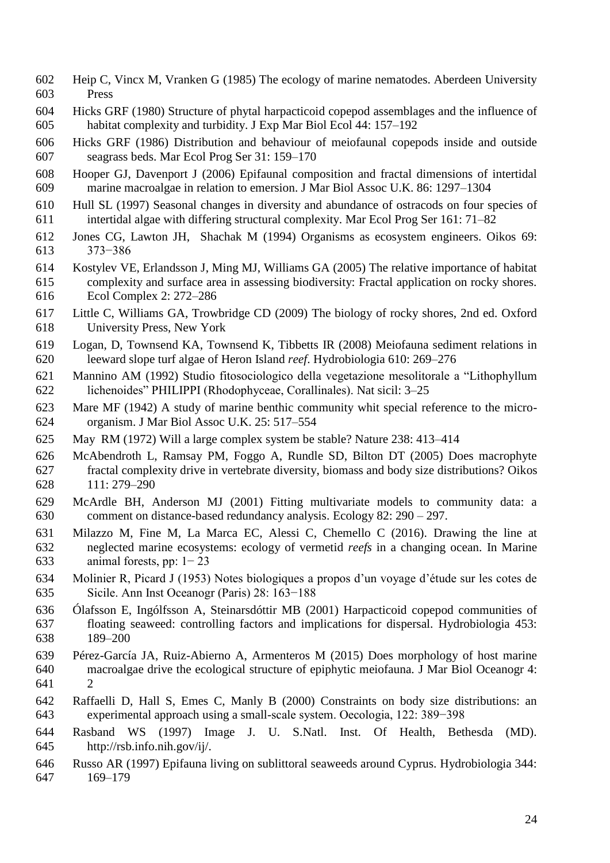- Heip C, Vincx M, Vranken G (1985) The ecology of marine nematodes. Aberdeen University Press
- Hicks GRF (1980) Structure of phytal harpacticoid copepod assemblages and the influence of habitat complexity and turbidity. J Exp Mar Biol Ecol 44: 157–192
- Hicks GRF (1986) Distribution and behaviour of meiofaunal copepods inside and outside seagrass beds. Mar Ecol Prog Ser 31: 159–170
- Hooper GJ, Davenport J (2006) Epifaunal composition and fractal dimensions of intertidal marine macroalgae in relation to emersion. J Mar Biol Assoc U.K. 86: 1297–1304
- Hull SL (1997) Seasonal changes in diversity and abundance of ostracods on four species of intertidal algae with differing structural complexity. Mar Ecol Prog Ser 161: 71–82
- Jones CG, Lawton JH, Shachak M (1994) Organisms as ecosystem engineers. Oikos 69: 373−386
- Kostylev VE, Erlandsson J, Ming MJ, Williams GA (2005) The relative importance of habitat complexity and surface area in assessing biodiversity: Fractal application on rocky shores. Ecol Complex 2: 272–286
- Little C, Williams GA, Trowbridge CD (2009) The biology of rocky shores, 2nd ed. Oxford University Press, New York
- Logan, D, Townsend KA, Townsend K, Tibbetts IR (2008) Meiofauna sediment relations in leeward slope turf algae of Heron Island *reef*. Hydrobiologia 610: 269–276
- Mannino AM (1992) Studio fitosociologico della vegetazione mesolitorale a "Lithophyllum lichenoides" PHILIPPI (Rhodophyceae, Corallinales). Nat sicil: 3–25
- Mare MF (1942) A study of marine benthic community whit special reference to the micro-organism. J Mar Biol Assoc U.K. 25: 517–554
- May RM (1972) Will a large complex system be stable? Nature 238: 413–414
- McAbendroth L, Ramsay PM, Foggo A, Rundle SD, Bilton DT (2005) Does macrophyte fractal complexity drive in vertebrate diversity, biomass and body size distributions? Oikos 111: 279–290
- McArdle BH, Anderson MJ (2001) Fitting multivariate models to community data: a comment on distance-based redundancy analysis. Ecology 82: 290 – 297.
- Milazzo M, Fine M, La Marca EC, Alessi C, Chemello C (2016). Drawing the line at neglected marine ecosystems: ecology of vermetid *reefs* in a changing ocean. In Marine animal forests, pp: 1− 23
- Molinier R, Picard J (1953) Notes biologiques a propos d'un voyage d'étude sur les cotes de Sicile. Ann Inst Oceanogr (Paris) 28: 163−188
- Ólafsson E, Ingólfsson A, Steinarsdóttir MB (2001) Harpacticoid copepod communities of floating seaweed: controlling factors and implications for dispersal. Hydrobiologia 453: 189–200
- Pérez-García JA, Ruiz-Abierno A, Armenteros M (2015) Does morphology of host marine macroalgae drive the ecological structure of epiphytic meiofauna. J Mar Biol Oceanogr 4: 2
- Raffaelli D, Hall S, Emes C, Manly B (2000) Constraints on body size distributions: an experimental approach using a small-scale system. Oecologia, 122: 389−398
- Rasband WS (1997) Image J. U. S.Natl. Inst. Of Health, Bethesda (MD). http://rsb.info.nih.gov/ij/.
- Russo AR (1997) Epifauna living on sublittoral seaweeds around Cyprus. Hydrobiologia 344: 169–179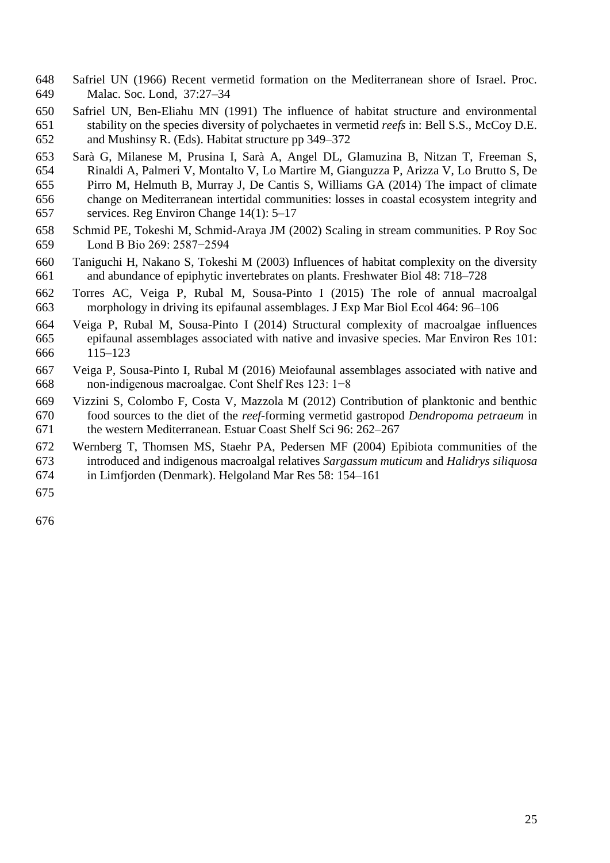- Safriel UN (1966) Recent vermetid formation on the Mediterranean shore of Israel. Proc. Malac. Soc. Lond, 37:27–34
- Safriel UN, Ben-Eliahu MN (1991) The influence of habitat structure and environmental stability on the species diversity of polychaetes in vermetid *reefs* in: Bell S.S., McCoy D.E. and Mushinsy R. (Eds). Habitat structure pp 349–372
- Sarà G, Milanese M, Prusina I, Sarà A, Angel DL, Glamuzina B, Nitzan T, Freeman S, Rinaldi A, Palmeri V, Montalto V, Lo Martire M, Gianguzza P, Arizza V, Lo Brutto S, De Pirro M, Helmuth B, Murray J, De Cantis S, Williams GA (2014) The impact of climate change on Mediterranean intertidal communities: losses in coastal ecosystem integrity and services. Reg Environ Change 14(1): 5–17
- Schmid PE, Tokeshi M, Schmid-Araya JM (2002) Scaling in stream communities. P Roy Soc Lond B Bio 269: 2587−2594
- Taniguchi H, Nakano S, Tokeshi M (2003) Influences of habitat complexity on the diversity and abundance of epiphytic invertebrates on plants. Freshwater Biol 48: 718–728
- Torres AC, Veiga P, Rubal M, Sousa-Pinto I (2015) The role of annual macroalgal morphology in driving its epifaunal assemblages. J Exp Mar Biol Ecol 464: 96–106
- Veiga P, Rubal M, Sousa-Pinto I (2014) Structural complexity of macroalgae influences epifaunal assemblages associated with native and invasive species. Mar Environ Res 101: 115–123
- Veiga P, Sousa-Pinto I, Rubal M (2016) Meiofaunal assemblages associated with native and non-indigenous macroalgae. Cont Shelf Res 123: 1−8
- Vizzini S, Colombo F, Costa V, Mazzola M (2012) Contribution of planktonic and benthic food sources to the diet of the *reef*-forming vermetid gastropod *Dendropoma petraeum* in the western Mediterranean. Estuar Coast Shelf Sci 96: 262–267
- Wernberg T, Thomsen MS, Staehr PA, Pedersen MF (2004) Epibiota communities of the introduced and indigenous macroalgal relatives *Sargassum muticum* and *Halidrys siliquosa*
- in Limfjorden (Denmark). Helgoland Mar Res 58: 154–161
-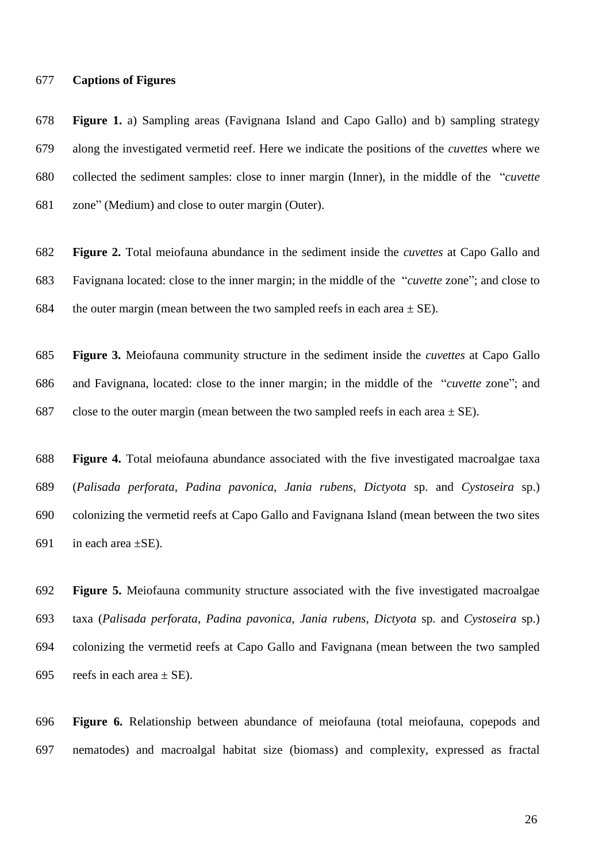#### **Captions of Figures**

 **Figure 1.** a) Sampling areas (Favignana Island and Capo Gallo) and b) sampling strategy along the investigated vermetid reef. Here we indicate the positions of the *cuvettes* where we collected the sediment samples: close to inner margin (Inner), in the middle of the "*cuvette* zone" (Medium) and close to outer margin (Outer).

 **Figure 2.** Total meiofauna abundance in the sediment inside the *cuvettes* at Capo Gallo and Favignana located: close to the inner margin; in the middle of the "*cuvette* zone"; and close to 684 the outer margin (mean between the two sampled reefs in each area  $\pm$  SE).

 **Figure 3.** Meiofauna community structure in the sediment inside the *cuvettes* at Capo Gallo and Favignana, located: close to the inner margin; in the middle of the "*cuvette* zone"; and 687 close to the outer margin (mean between the two sampled reefs in each area  $\pm$  SE).

 **Figure 4.** Total meiofauna abundance associated with the five investigated macroalgae taxa (*Palisada perforata*, *Padina pavonica*, *Jania rubens*, *Dictyota* sp. and *Cystoseira* sp.) colonizing the vermetid reefs at Capo Gallo and Favignana Island (mean between the two sites 691 in each area  $\pm$ SE).

 **Figure 5.** Meiofauna community structure associated with the five investigated macroalgae taxa (*Palisada perforata*, *Padina pavonica*, *Jania rubens*, *Dictyota* sp. and *Cystoseira* sp.) colonizing the vermetid reefs at Capo Gallo and Favignana (mean between the two sampled 695 reefs in each area  $\pm$  SE).

 **Figure 6.** Relationship between abundance of meiofauna (total meiofauna, copepods and nematodes) and macroalgal habitat size (biomass) and complexity, expressed as fractal